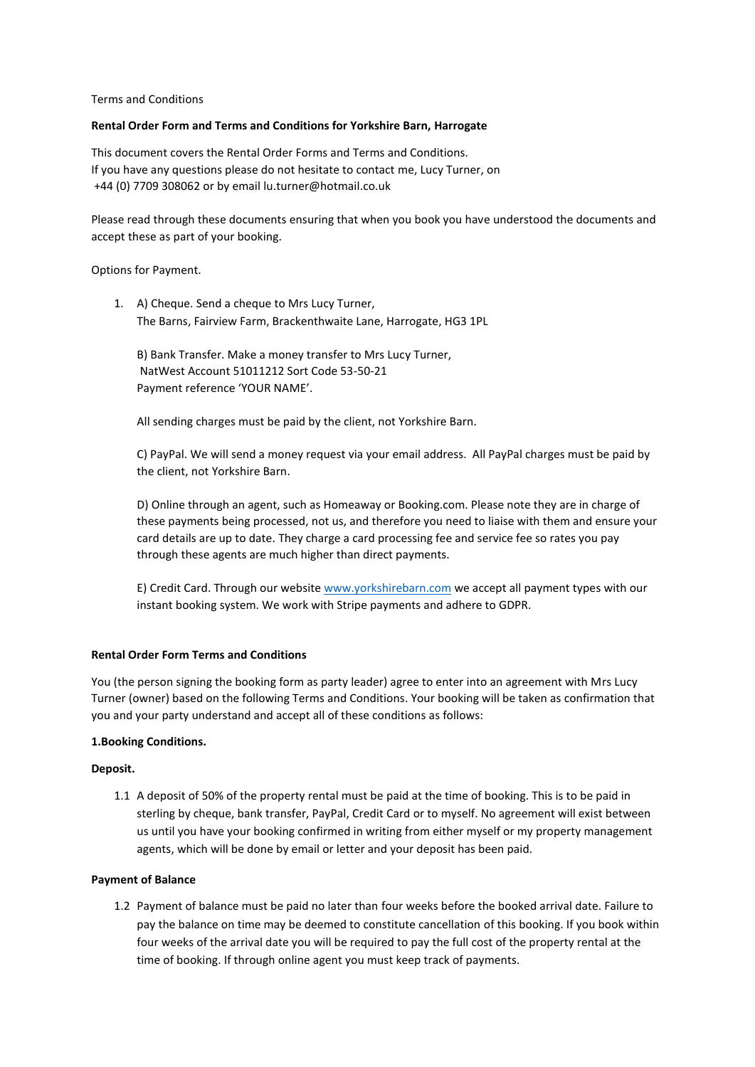### Terms and Conditions

## **Rental Order Form and Terms and Conditions for Yorkshire Barn, Harrogate**

This document covers the Rental Order Forms and Terms and Conditions. If you have any questions please do not hesitate to contact me, Lucy Turner, on +44 (0) 7709 308062 or by email [lu.turner@hotmail.co.uk](mailto:lu.turner@hotmail.co.uk)

Please read through these documents ensuring that when you book you have understood the documents and accept these as part of your booking.

Options for Payment.

1. A) Cheque. Send a cheque to Mrs Lucy Turner, The Barns, Fairview Farm, Brackenthwaite Lane, Harrogate, HG3 1PL

B) Bank Transfer. Make a money transfer to Mrs Lucy Turner, NatWest Account 51011212 Sort Code 53-50-21 Payment reference 'YOUR NAME'.

All sending charges must be paid by the client, not Yorkshire Barn.

C) PayPal. We will send a money request via your email address. All PayPal charges must be paid by the client, not Yorkshire Barn.

D) Online through an agent, such as Homeaway or Booking.com. Please note they are in charge of these payments being processed, not us, and therefore you need to liaise with them and ensure your card details are up to date. They charge a card processing fee and service fee so rates you pay through these agents are much higher than direct payments.

E) Credit Card. Through our websit[e www.yorkshirebarn.com](http://www.yorkshirebarn.com/) we accept all payment types with our instant booking system. We work with Stripe payments and adhere to GDPR.

# **Rental Order Form Terms and Conditions**

You (the person signing the booking form as party leader) agree to enter into an agreement with Mrs Lucy Turner (owner) based on the following Terms and Conditions. Your booking will be taken as confirmation that you and your party understand and accept all of these conditions as follows:

### **1.Booking Conditions.**

### **Deposit.**

1.1 A deposit of 50% of the property rental must be paid at the time of booking. This is to be paid in sterling by cheque, bank transfer, PayPal, Credit Card or to myself. No agreement will exist between us until you have your booking confirmed in writing from either myself or my property management agents, which will be done by email or letter and your deposit has been paid.

### **Payment of Balance**

1.2 Payment of balance must be paid no later than four weeks before the booked arrival date. Failure to pay the balance on time may be deemed to constitute cancellation of this booking. If you book within four weeks of the arrival date you will be required to pay the full cost of the property rental at the time of booking. If through online agent you must keep track of payments.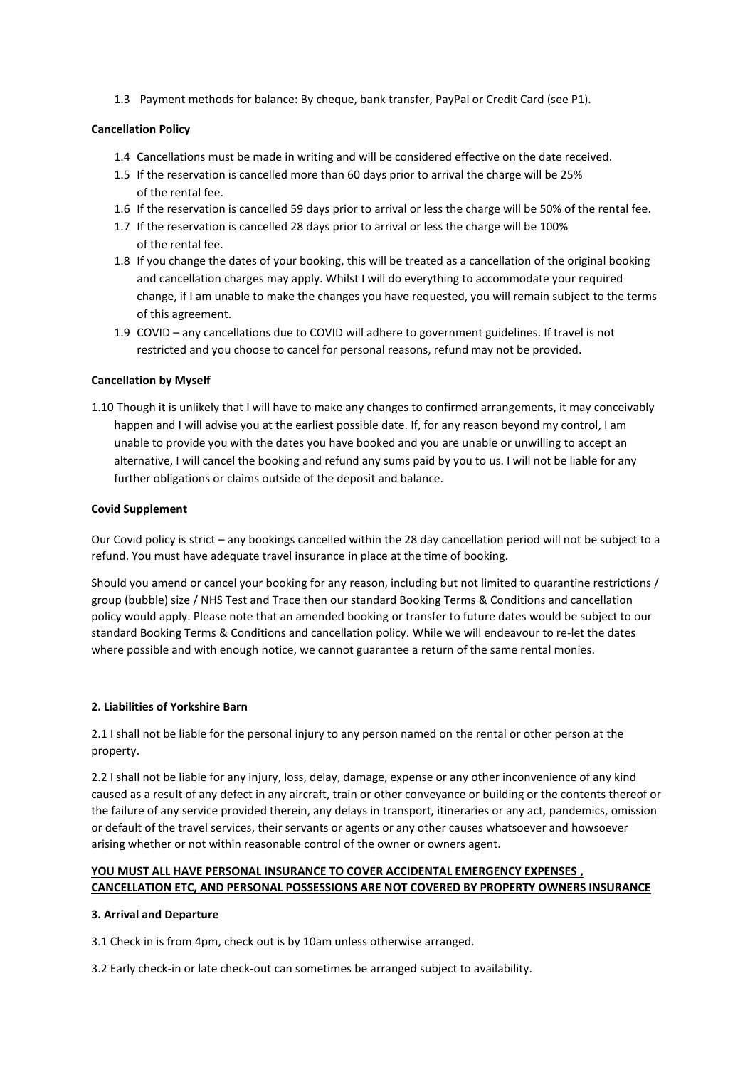1.3 Payment methods for balance: By cheque, bank transfer, PayPal or Credit Card (see P1).

# **Cancellation Policy**

- 1.4 Cancellations must be made in writing and will be considered effective on the date received.
- 1.5 If the reservation is cancelled more than 60 days prior to arrival the charge will be 25% of the rental fee.
- 1.6 If the reservation is cancelled 59 days prior to arrival or less the charge will be 50% of the rental fee.
- 1.7 If the reservation is cancelled 28 days prior to arrival or less the charge will be 100% of the rental fee.
- 1.8 If you change the dates of your booking, this will be treated as a cancellation of the original booking and cancellation charges may apply. Whilst I will do everything to accommodate your required change, if I am unable to make the changes you have requested, you will remain subject to the terms of this agreement.
- 1.9 COVID any cancellations due to COVID will adhere to government guidelines. If travel is not restricted and you choose to cancel for personal reasons, refund may not be provided.

# **Cancellation by Myself**

1.10 Though it is unlikely that I will have to make any changes to confirmed arrangements, it may conceivably happen and I will advise you at the earliest possible date. If, for any reason beyond my control, I am unable to provide you with the dates you have booked and you are unable or unwilling to accept an alternative, I will cancel the booking and refund any sums paid by you to us. I will not be liable for any further obligations or claims outside of the deposit and balance.

# **Covid Supplement**

Our Covid policy is strict – any bookings cancelled within the 28 day cancellation period will not be subject to a refund. You must have adequate travel insurance in place at the time of booking.

Should you amend or cancel your booking for any reason, including but not limited to quarantine restrictions / group (bubble) size / NHS Test and Trace then our standard Booking Terms & Conditions and cancellation policy would apply. Please note that an amended booking or transfer to future dates would be subject to our standard Booking Terms & Conditions and cancellation policy. While we will endeavour to re-let the dates where possible and with enough notice, we cannot guarantee a return of the same rental monies.

# **2. Liabilities of Yorkshire Barn**

2.1 I shall not be liable for the personal injury to any person named on the rental or other person at the property.

2.2 I shall not be liable for any injury, loss, delay, damage, expense or any other inconvenience of any kind caused as a result of any defect in any aircraft, train or other conveyance or building or the contents thereof or the failure of any service provided therein, any delays in transport, itineraries or any act, pandemics, omission or default of the travel services, their servants or agents or any other causes whatsoever and howsoever arising whether or not within reasonable control of the owner or owners agent.

# **YOU MUST ALL HAVE PERSONAL INSURANCE TO COVER ACCIDENTAL EMERGENCY EXPENSES , CANCELLATION ETC, AND PERSONAL POSSESSIONS ARE NOT COVERED BY PROPERTY OWNERS INSURANCE**

# **3. Arrival and Departure**

3.1 Check in is from 4pm, check out is by 10am unless otherwise arranged.

3.2 Early check-in or late check-out can sometimes be arranged subject to availability.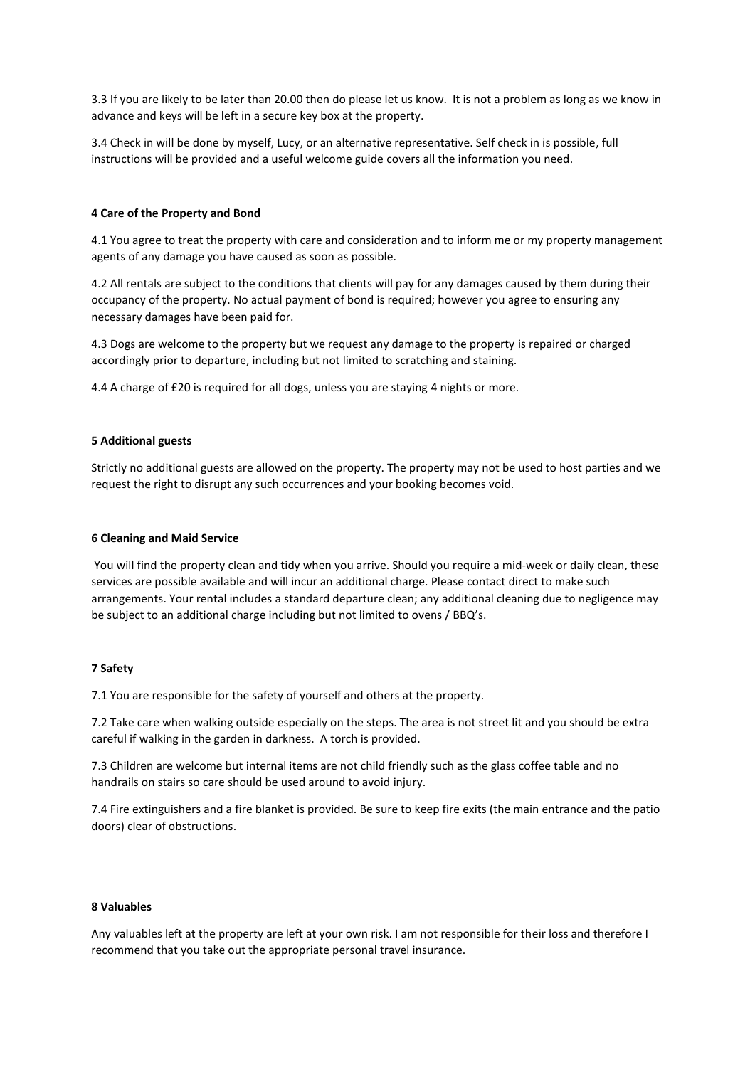3.3 If you are likely to be later than 20.00 then do please let us know. It is not a problem as long as we know in advance and keys will be left in a secure key box at the property.

3.4 Check in will be done by myself, Lucy, or an alternative representative. Self check in is possible, full instructions will be provided and a useful welcome guide covers all the information you need.

### **4 Care of the Property and Bond**

4.1 You agree to treat the property with care and consideration and to inform me or my property management agents of any damage you have caused as soon as possible.

4.2 All rentals are subject to the conditions that clients will pay for any damages caused by them during their occupancy of the property. No actual payment of bond is required; however you agree to ensuring any necessary damages have been paid for.

4.3 Dogs are welcome to the property but we request any damage to the property is repaired or charged accordingly prior to departure, including but not limited to scratching and staining.

4.4 A charge of £20 is required for all dogs, unless you are staying 4 nights or more.

### **5 Additional guests**

Strictly no additional guests are allowed on the property. The property may not be used to host parties and we request the right to disrupt any such occurrences and your booking becomes void.

#### **6 Cleaning and Maid Service**

You will find the property clean and tidy when you arrive. Should you require a mid-week or daily clean, these services are possible available and will incur an additional charge. Please contact direct to make such arrangements. Your rental includes a standard departure clean; any additional cleaning due to negligence may be subject to an additional charge including but not limited to ovens / BBQ's.

### **7 Safety**

7.1 You are responsible for the safety of yourself and others at the property.

7.2 Take care when walking outside especially on the steps. The area is not street lit and you should be extra careful if walking in the garden in darkness. A torch is provided.

7.3 Children are welcome but internal items are not child friendly such as the glass coffee table and no handrails on stairs so care should be used around to avoid injury.

7.4 Fire extinguishers and a fire blanket is provided. Be sure to keep fire exits (the main entrance and the patio doors) clear of obstructions.

### **8 Valuables**

Any valuables left at the property are left at your own risk. I am not responsible for their loss and therefore I recommend that you take out the appropriate personal travel insurance.